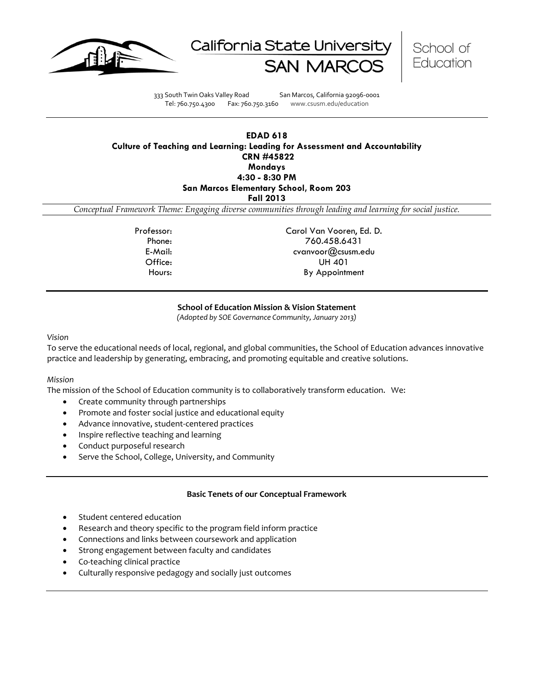





333 South Twin Oaks Valley Road San Marcos, California 92096-0001 Tel: 760.750.4300 Fax: 760.750.3160 www.csusm.edu/education

## **EDAD 618 Culture of Teaching and Learning: Leading for Assessment and Accountability CRN #45822 Mondays 4:30 - 8:30 PM San Marcos Elementary School, Room 203 Fall 2013**

*Conceptual Framework Theme: Engaging diverse communities through leading and learning for social justice.*

Professor: Carol Van Vooren, Ed. D. Phone: 760.458.6431 E-Mail: cvanvoor@csusm.edu Office: UH 401 Hours: By Appointment

### **School of Education Mission & Vision Statement**

*(Adopted by SOE Governance Community, January 2013)*

#### *Vision*

To serve the educational needs of local, regional, and global communities, the School of Education advances innovative practice and leadership by generating, embracing, and promoting equitable and creative solutions.

#### *Mission*

The mission of the School of Education community is to collaboratively transform education. We:

- Create community through partnerships
- Promote and foster social justice and educational equity
- Advance innovative, student-centered practices
- Inspire reflective teaching and learning
- Conduct purposeful research
- Serve the School, College, University, and Community

#### **Basic Tenets of our Conceptual Framework**

- Student centered education
- Research and theory specific to the program field inform practice
- Connections and links between coursework and application
- Strong engagement between faculty and candidates
- Co-teaching clinical practice
- Culturally responsive pedagogy and socially just outcomes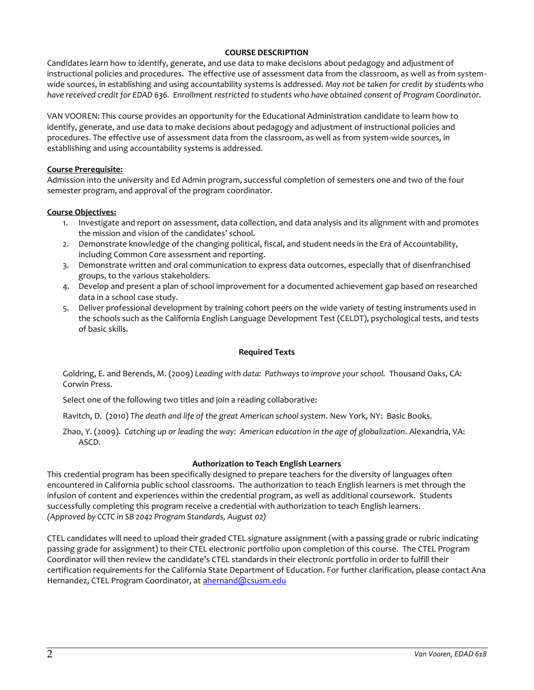### **COURSE DESCRIPTION**

Candidates learn how to identify, generate, and use data to make decisions about pedagogy and adjustment of instructional policies and procedures. The effective use of assessment data from the classroom, as well as from systemwide sources, in establishing and using accountability systems is addressed. *May not be taken for credit by students who have received credit for EDAD 636. Enrollment restricted to students who have obtained consent of Program Coordinator.* 

VAN VOOREN: This course provides an opportunity for the Educational Administration candidate to learn how to identify, generate, and use data to make decisions about pedagogy and adjustment of instructional policies and procedures. The effective use of assessment data from the classroom, as well as from system-wide sources, in establishing and using accountability systems is addressed.

### **Course Prerequisite:**

Admission into the university and Ed Admin program, successful completion of semesters one and two of the four semester program, and approval of the program coordinator.

### **Course Objectives:**

- 1. Investigate and report on assessment, data collection, and data analysis and its alignment with and promotes the mission and vision of the candidates' school.
- 2. Demonstrate knowledge of the changing political, fiscal, and student needs in the Era of Accountability, including Common Core assessment and reporting.
- 3. Demonstrate written and oral communication to express data outcomes, especially that of disenfranchised groups, to the various stakeholders.
- 4. Develop and present a plan of school improvement for a documented achievement gap based on researched data in a school case study.
- 5. Deliver professional development by training cohort peers on the wide variety of testing instruments used in the schools such as the California English Language Development Test (CELDT), psychological tests, and tests of basic skills.

### **Required Texts**

Goldring, E. and Berends, M. (2009) *Leading with data: Pathways to improve your school.* Thousand Oaks, CA: Corwin Press.

Select one of the following two titles and join a reading collaborative:

Ravitch, D. (2010) *The death and life of the great American school system*. New York, NY: Basic Books.

Zhao, Y. (2009). *Catching up or leading the way: American education in the age of globalization*. Alexandria, VA: ASCD.

# **Authorization to Teach English Learners**

This credential program has been specifically designed to prepare teachers for the diversity of languages often encountered in California public school classrooms. The authorization to teach English learners is met through the infusion of content and experiences within the credential program, as well as additional coursework. Students successfully completing this program receive a credential with authorization to teach English learners. *(Approved by CCTC in SB 2042 Program Standards, August 02)*

CTEL candidates will need to upload their graded CTEL signature assignment (with a passing grade or rubric indicating passing grade for assignment) to their CTEL electronic portfolio upon completion of this course. The CTEL Program Coordinator will then review the candidate's CTEL standards in their electronic portfolio in order to fulfill their certification requirements for the California State Department of Education. For further clarification, please contact Ana Hernandez, CTEL Program Coordinator, at [ahernand@csusm.edu](https://bl2prd0511.outlook.com/owa/redir.aspx?C=AW7hZ-DBL0G6FPgB8G8Eri3bAwuccNAIwYI81VgsrzvmHC5AEo6nGJNyvZWC7aqWfxtUgiTx_9k.&URL=mailto%3aahernand%40csusm.edu)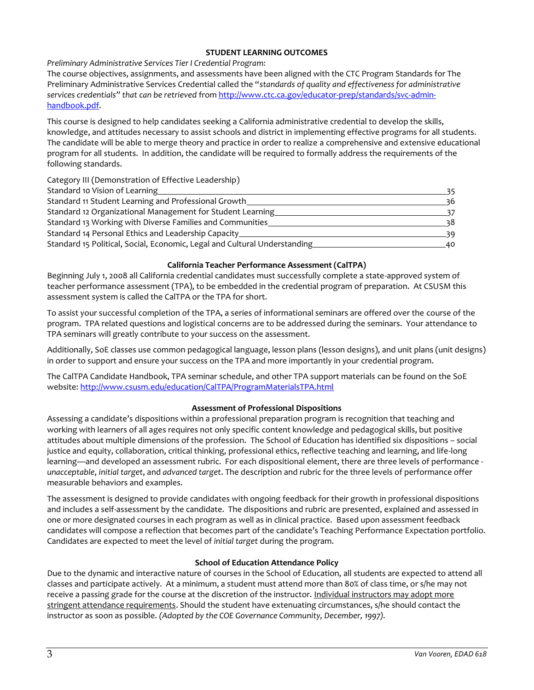## **STUDENT LEARNING OUTCOMES**

*Preliminary Administrative Services Tier I Credential Program:*

The course objectives, assignments, and assessments have been aligned with the CTC Program Standards for The Preliminary Administrative Services Credential called the "*standards of quality and effectiveness for administrative services credentials" that can be retrieved* from [http://www.ctc.ca.gov/educator-prep/standards/svc-admin](http://www.ctc.ca.gov/educator-prep/standards/svc-admin-handbook.pdf)[handbook.pdf.](http://www.ctc.ca.gov/educator-prep/standards/svc-admin-handbook.pdf)

This course is designed to help candidates seeking a California administrative credential to develop the skills, knowledge, and attitudes necessary to assist schools and district in implementing effective programs for all students. The candidate will be able to merge theory and practice in order to realize a comprehensive and extensive educational program for all students. In addition, the candidate will be required to formally address the requirements of the following standards.

Category III (Demonstration of Effective Leadership)

| Standard 10 Vision of Learning                                            | 35. |
|---------------------------------------------------------------------------|-----|
| Standard 11 Student Learning and Professional Growth                      | 36  |
| Standard 12 Organizational Management for Student Learning                |     |
| Standard 13 Working with Diverse Families and Communities                 | 38  |
| Standard 14 Personal Ethics and Leadership Capacity_                      | 30. |
| Standard 15 Political, Social, Economic, Legal and Cultural Understanding | 40  |

## **California Teacher Performance Assessment (CalTPA)**

Beginning July 1, 2008 all California credential candidates must successfully complete a state-approved system of teacher performance assessment (TPA), to be embedded in the credential program of preparation. At CSUSM this assessment system is called the CalTPA or the TPA for short.

To assist your successful completion of the TPA, a series of informational seminars are offered over the course of the program. TPA related questions and logistical concerns are to be addressed during the seminars. Your attendance to TPA seminars will greatly contribute to your success on the assessment.

Additionally, SoE classes use common pedagogical language, lesson plans (lesson designs), and unit plans (unit designs) in order to support and ensure your success on the TPA and more importantly in your credential program.

The CalTPA Candidate Handbook, TPA seminar schedule, and other TPA support materials can be found on the SoE website:<http://www.csusm.edu/education/CalTPA/ProgramMaterialsTPA.html>

# **Assessment of Professional Dispositions**

Assessing a candidate's dispositions within a professional preparation program is recognition that teaching and working with learners of all ages requires not only specific content knowledge and pedagogical skills, but positive attitudes about multiple dimensions of the profession. The School of Education has identified six dispositions – social justice and equity, collaboration, critical thinking, professional ethics, reflective teaching and learning, and life-long learning—and developed an assessment rubric. For each dispositional element, there are three levels of performance *unacceptable*, *initial target*, and *advanced target*. The description and rubric for the three levels of performance offer measurable behaviors and examples.

The assessment is designed to provide candidates with ongoing feedback for their growth in professional dispositions and includes a self-assessment by the candidate. The dispositions and rubric are presented, explained and assessed in one or more designated courses in each program as well as in clinical practice. Based upon assessment feedback candidates will compose a reflection that becomes part of the candidate's Teaching Performance Expectation portfolio. Candidates are expected to meet the level of *initial target* during the program.

### **School of Education Attendance Policy**

Due to the dynamic and interactive nature of courses in the School of Education, all students are expected to attend all classes and participate actively. At a minimum, a student must attend more than 80% of class time, or s/he may not receive a passing grade for the course at the discretion of the instructor. Individual instructors may adopt more stringent attendance requirements. Should the student have extenuating circumstances, s/he should contact the instructor as soon as possible. *(Adopted by the COE Governance Community, December, 1997).*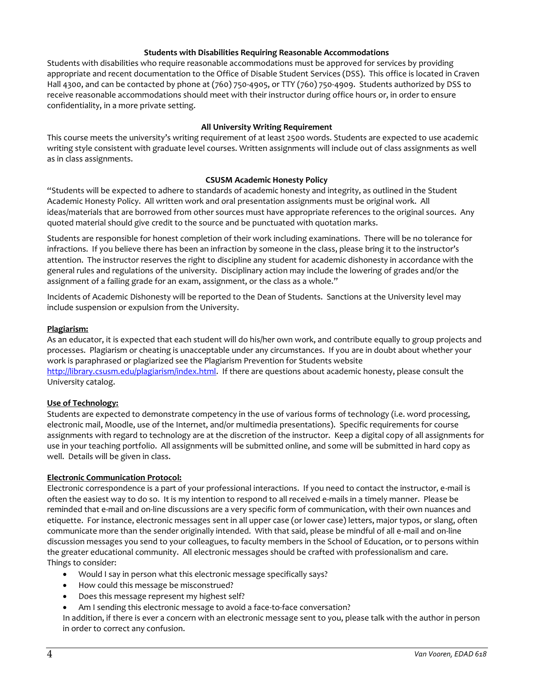## **Students with Disabilities Requiring Reasonable Accommodations**

Students with disabilities who require reasonable accommodations must be approved for services by providing appropriate and recent documentation to the Office of Disable Student Services (DSS). This office is located in Craven Hall 4300, and can be contacted by phone at (760) 750-4905, or TTY (760) 750-4909. Students authorized by DSS to receive reasonable accommodations should meet with their instructor during office hours or, in order to ensure confidentiality, in a more private setting.

## **All University Writing Requirement**

This course meets the university's writing requirement of at least 2500 words. Students are expected to use academic writing style consistent with graduate level courses. Written assignments will include out of class assignments as well as in class assignments.

## **CSUSM Academic Honesty Policy**

"Students will be expected to adhere to standards of academic honesty and integrity, as outlined in the Student Academic Honesty Policy. All written work and oral presentation assignments must be original work. All ideas/materials that are borrowed from other sources must have appropriate references to the original sources. Any quoted material should give credit to the source and be punctuated with quotation marks.

Students are responsible for honest completion of their work including examinations. There will be no tolerance for infractions. If you believe there has been an infraction by someone in the class, please bring it to the instructor's attention. The instructor reserves the right to discipline any student for academic dishonesty in accordance with the general rules and regulations of the university. Disciplinary action may include the lowering of grades and/or the assignment of a failing grade for an exam, assignment, or the class as a whole."

Incidents of Academic Dishonesty will be reported to the Dean of Students. Sanctions at the University level may include suspension or expulsion from the University.

### **Plagiarism:**

As an educator, it is expected that each student will do his/her own work, and contribute equally to group projects and processes. Plagiarism or cheating is unacceptable under any circumstances. If you are in doubt about whether your work is paraphrased or plagiarized see the Plagiarism Prevention for Students website [http://library.csusm.edu/plagiarism/index.html.](http://library.csusm.edu/plagiarism/index.html) If there are questions about academic honesty, please consult the University catalog.

### **Use of Technology:**

Students are expected to demonstrate competency in the use of various forms of technology (i.e. word processing, electronic mail, Moodle, use of the Internet, and/or multimedia presentations). Specific requirements for course assignments with regard to technology are at the discretion of the instructor. Keep a digital copy of all assignments for use in your teaching portfolio. All assignments will be submitted online, and some will be submitted in hard copy as well. Details will be given in class.

### **Electronic Communication Protocol:**

Electronic correspondence is a part of your professional interactions. If you need to contact the instructor, e-mail is often the easiest way to do so. It is my intention to respond to all received e-mails in a timely manner. Please be reminded that e-mail and on-line discussions are a very specific form of communication, with their own nuances and etiquette. For instance, electronic messages sent in all upper case (or lower case) letters, major typos, or slang, often communicate more than the sender originally intended. With that said, please be mindful of all e-mail and on-line discussion messages you send to your colleagues, to faculty members in the School of Education, or to persons within the greater educational community. All electronic messages should be crafted with professionalism and care. Things to consider:

- Would I say in person what this electronic message specifically says?
- How could this message be misconstrued?
- Does this message represent my highest self?
- Am I sending this electronic message to avoid a face-to-face conversation?

In addition, if there is ever a concern with an electronic message sent to you, please talk with the author in person in order to correct any confusion.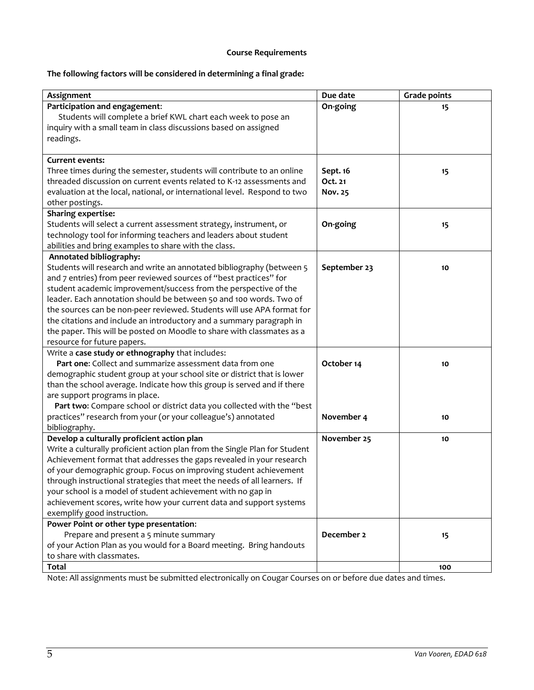# **Course Requirements**

# **The following factors will be considered in determining a final grade:**

| Assignment                                                                 | Due date       | <b>Grade points</b> |
|----------------------------------------------------------------------------|----------------|---------------------|
| Participation and engagement:                                              | On-going       | 15                  |
| Students will complete a brief KWL chart each week to pose an              |                |                     |
| inquiry with a small team in class discussions based on assigned           |                |                     |
| readings.                                                                  |                |                     |
|                                                                            |                |                     |
| <b>Current events:</b>                                                     |                |                     |
| Three times during the semester, students will contribute to an online     | Sept. 16       | 15                  |
| threaded discussion on current events related to K-12 assessments and      | Oct. 21        |                     |
| evaluation at the local, national, or international level. Respond to two  | <b>Nov. 25</b> |                     |
| other postings.                                                            |                |                     |
| <b>Sharing expertise:</b>                                                  |                |                     |
| Students will select a current assessment strategy, instrument, or         | On-going       | 15                  |
| technology tool for informing teachers and leaders about student           |                |                     |
| abilities and bring examples to share with the class.                      |                |                     |
| Annotated bibliography:                                                    |                |                     |
| Students will research and write an annotated bibliography (between 5      | September 23   | 10                  |
| and 7 entries) from peer reviewed sources of "best practices" for          |                |                     |
| student academic improvement/success from the perspective of the           |                |                     |
| leader. Each annotation should be between 50 and 100 words. Two of         |                |                     |
| the sources can be non-peer reviewed. Students will use APA format for     |                |                     |
| the citations and include an introductory and a summary paragraph in       |                |                     |
| the paper. This will be posted on Moodle to share with classmates as a     |                |                     |
| resource for future papers.                                                |                |                     |
| Write a case study or ethnography that includes:                           |                |                     |
| Part one: Collect and summarize assessment data from one                   | October 14     | 10                  |
| demographic student group at your school site or district that is lower    |                |                     |
| than the school average. Indicate how this group is served and if there    |                |                     |
| are support programs in place.                                             |                |                     |
| Part two: Compare school or district data you collected with the "best     |                |                     |
| practices" research from your (or your colleague's) annotated              | November 4     | 10                  |
| bibliography.                                                              |                |                     |
| Develop a culturally proficient action plan                                | November 25    | 10                  |
| Write a culturally proficient action plan from the Single Plan for Student |                |                     |
| Achievement format that addresses the gaps revealed in your research       |                |                     |
| of your demographic group. Focus on improving student achievement          |                |                     |
| through instructional strategies that meet the needs of all learners. If   |                |                     |
| your school is a model of student achievement with no gap in               |                |                     |
| achievement scores, write how your current data and support systems        |                |                     |
| exemplify good instruction.                                                |                |                     |
| Power Point or other type presentation:                                    |                |                     |
| Prepare and present a 5 minute summary                                     | December 2     | 15                  |
| of your Action Plan as you would for a Board meeting. Bring handouts       |                |                     |
| to share with classmates.                                                  |                |                     |
| <b>Total</b>                                                               |                | 100                 |

Note: All assignments must be submitted electronically on Cougar Courses on or before due dates and times.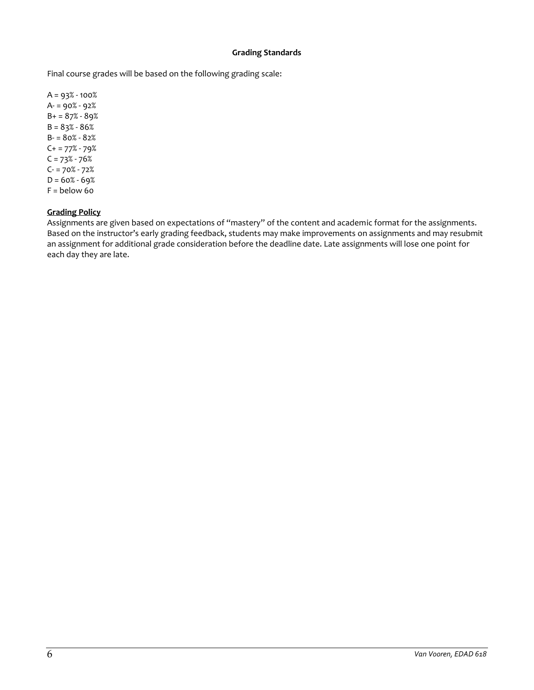## **Grading Standards**

Final course grades will be based on the following grading scale:

 $A = 93% - 100%$ A- = 90% - 92%  $B = 87% - 89%$  $B = 83% - 86%$  $B - 80% - 82%$  $C+ = 77% - 79%$  $C = 73% - 76%$ C- = 70% - 72%  $D = 60\% - 69\%$  $F =$  below 60

## **Grading Policy**

Assignments are given based on expectations of "mastery" of the content and academic format for the assignments. Based on the instructor's early grading feedback, students may make improvements on assignments and may resubmit an assignment for additional grade consideration before the deadline date. Late assignments will lose one point for each day they are late.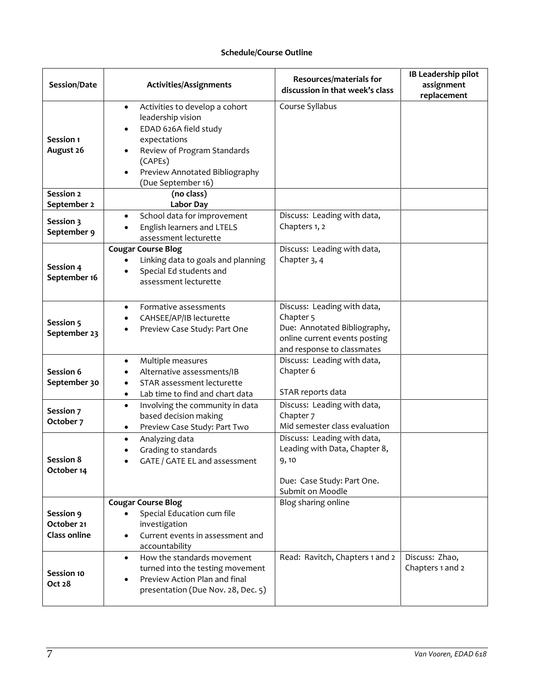## **Schedule/Course Outline**

| Session/Date                                   | Activities/Assignments                                                                                                                                                                                      | Resources/materials for<br>discussion in that week's class                                                                                         | IB Leadership pilot<br>assignment<br>replacement |
|------------------------------------------------|-------------------------------------------------------------------------------------------------------------------------------------------------------------------------------------------------------------|----------------------------------------------------------------------------------------------------------------------------------------------------|--------------------------------------------------|
| Session 1<br>August 26                         | Activities to develop a cohort<br>$\bullet$<br>leadership vision<br>EDAD 626A field study<br>expectations<br>Review of Program Standards<br>(CAPEs)<br>Preview Annotated Bibliography<br>(Due September 16) | Course Syllabus                                                                                                                                    |                                                  |
| Session 2                                      | (no class)                                                                                                                                                                                                  |                                                                                                                                                    |                                                  |
| September 2<br>Session 3<br>September 9        | <b>Labor Day</b><br>School data for improvement<br>$\bullet$<br>English learners and LTELS<br>٠<br>assessment lecturette                                                                                    | Discuss: Leading with data,<br>Chapters 1, 2                                                                                                       |                                                  |
| Session 4<br>September 16                      | <b>Cougar Course Blog</b><br>Linking data to goals and planning<br>Special Ed students and<br>assessment lecturette                                                                                         | Discuss: Leading with data,<br>Chapter 3, 4                                                                                                        |                                                  |
| Session 5<br>September 23                      | Formative assessments<br>$\bullet$<br>CAHSEE/AP/IB lecturette<br>$\bullet$<br>Preview Case Study: Part One                                                                                                  | Discuss: Leading with data,<br>Chapter <sub>5</sub><br>Due: Annotated Bibliography,<br>online current events posting<br>and response to classmates |                                                  |
| Session 6<br>September 30                      | Multiple measures<br>$\bullet$<br>Alternative assessments/IB<br>STAR assessment lecturette<br>$\bullet$<br>Lab time to find and chart data<br>$\bullet$                                                     | Discuss: Leading with data,<br>Chapter 6<br>STAR reports data                                                                                      |                                                  |
| Session 7<br>October 7                         | Involving the community in data<br>$\bullet$<br>based decision making<br>Preview Case Study: Part Two                                                                                                       | Discuss: Leading with data,<br>Chapter <sub>7</sub><br>Mid semester class evaluation                                                               |                                                  |
| Session 8<br>October 14                        | Analyzing data<br>$\bullet$<br>Grading to standards<br>GATE / GATE EL and assessment                                                                                                                        | Discuss: Leading with data,<br>Leading with Data, Chapter 8,<br>9, 10<br>Due: Case Study: Part One.<br>Submit on Moodle                            |                                                  |
| Session 9<br>October 21<br><b>Class online</b> | <b>Cougar Course Blog</b><br>Special Education cum file<br>investigation<br>Current events in assessment and<br>$\bullet$<br>accountability                                                                 | Blog sharing online                                                                                                                                |                                                  |
| Session 10<br>Oct 28                           | How the standards movement<br>$\bullet$<br>turned into the testing movement<br>Preview Action Plan and final<br>presentation (Due Nov. 28, Dec. 5)                                                          | Read: Ravitch, Chapters 1 and 2                                                                                                                    | Discuss: Zhao,<br>Chapters 1 and 2               |